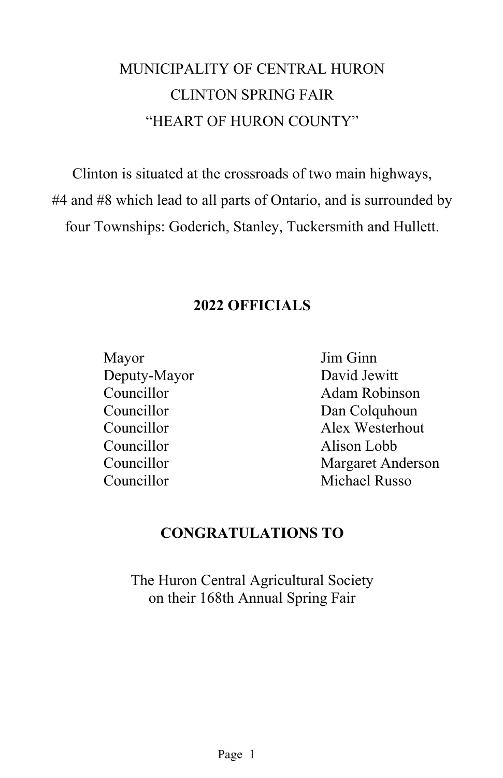## MUNICIPALITY OF CENTRAL HURON CLINTON SPRING FAIR "HEART OF HURON COUNTY"

Clinton is situated at the crossroads of two main highways, #4 and #8 which lead to all parts of Ontario, and is surrounded by four Townships: Goderich, Stanley, Tuckersmith and Hullett.

## **2022 OFFICIALS**

Mayor Jim Ginn Deputy-Mayor David Jewitt Councillor Alison Lobb Councillor Michael Russo

Councillor Adam Robinson Councillor Dan Colquhoun Councillor Alex Westerhout Councillor Margaret Anderson

## **CONGRATULATIONS TO**

The Huron Central Agricultural Society on their 168th Annual Spring Fair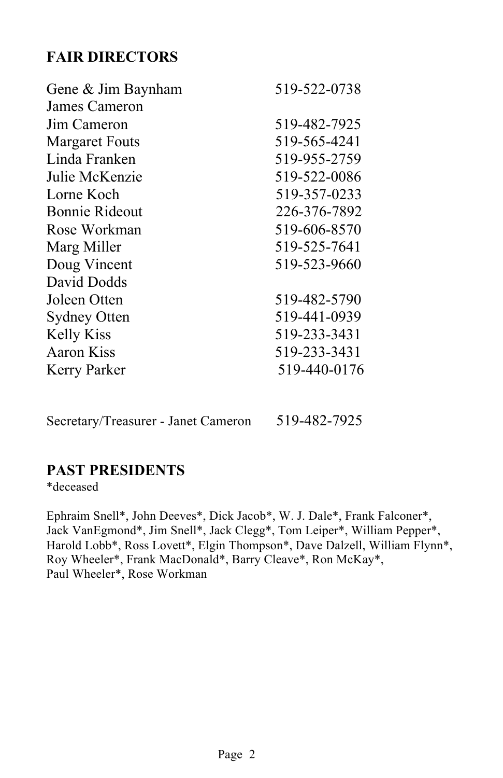## **FAIR DIRECTORS**

| Gene & Jim Baynham    | 519-522-0738 |
|-----------------------|--------------|
| James Cameron         |              |
| Jim Cameron           | 519-482-7925 |
| <b>Margaret Fouts</b> | 519-565-4241 |
| Linda Franken         | 519-955-2759 |
| Julie McKenzie        | 519-522-0086 |
| Lorne Koch            | 519-357-0233 |
| Bonnie Rideout        | 226-376-7892 |
| Rose Workman          | 519-606-8570 |
| Marg Miller           | 519-525-7641 |
| Doug Vincent          | 519-523-9660 |
| David Dodds           |              |
| Joleen Otten          | 519-482-5790 |
| <b>Sydney Otten</b>   | 519-441-0939 |
| <b>Kelly Kiss</b>     | 519-233-3431 |
| <b>Aaron Kiss</b>     | 519-233-3431 |
| Kerry Parker          | 519-440-0176 |
|                       |              |

Secretary/Treasurer - Janet Cameron 519-482-7925

## **PAST PRESIDENTS**

\*deceased

Ephraim Snell\*, John Deeves\*, Dick Jacob\*, W. J. Dale\*, Frank Falconer\*, Jack VanEgmond\*, Jim Snell\*, Jack Clegg\*, Tom Leiper\*, William Pepper\*, Harold Lobb\*, Ross Lovett\*, Elgin Thompson\*, Dave Dalzell, William Flynn\*, Roy Wheeler\*, Frank MacDonald\*, Barry Cleave\*, Ron McKay\*, Paul Wheeler\*, Rose Workman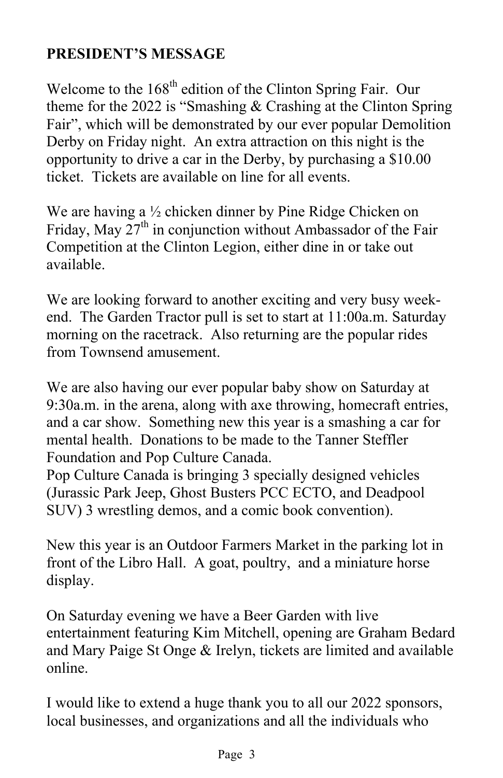## **PRESIDENT'S MESSAGE**

Welcome to the 168<sup>th</sup> edition of the Clinton Spring Fair. Our theme for the 2022 is "Smashing & Crashing at the Clinton Spring Fair", which will be demonstrated by our ever popular Demolition Derby on Friday night. An extra attraction on this night is the opportunity to drive a car in the Derby, by purchasing a \$10.00 ticket. Tickets are available on line for all events.

We are having a ½ chicken dinner by Pine Ridge Chicken on Friday, May  $27<sup>th</sup>$  in conjunction without Ambassador of the Fair Competition at the Clinton Legion, either dine in or take out available.

We are looking forward to another exciting and very busy weekend. The Garden Tractor pull is set to start at 11:00a.m. Saturday morning on the racetrack. Also returning are the popular rides from Townsend amusement.

We are also having our ever popular baby show on Saturday at 9:30a.m. in the arena, along with axe throwing, homecraft entries, and a car show. Something new this year is a smashing a car for mental health. Donations to be made to the Tanner Steffler Foundation and Pop Culture Canada.

Pop Culture Canada is bringing 3 specially designed vehicles (Jurassic Park Jeep, Ghost Busters PCC ECTO, and Deadpool SUV) 3 wrestling demos, and a comic book convention).

New this year is an Outdoor Farmers Market in the parking lot in front of the Libro Hall. A goat, poultry, and a miniature horse display.

On Saturday evening we have a Beer Garden with live entertainment featuring Kim Mitchell, opening are Graham Bedard and Mary Paige St Onge & Irelyn, tickets are limited and available online.

I would like to extend a huge thank you to all our 2022 sponsors, local businesses, and organizations and all the individuals who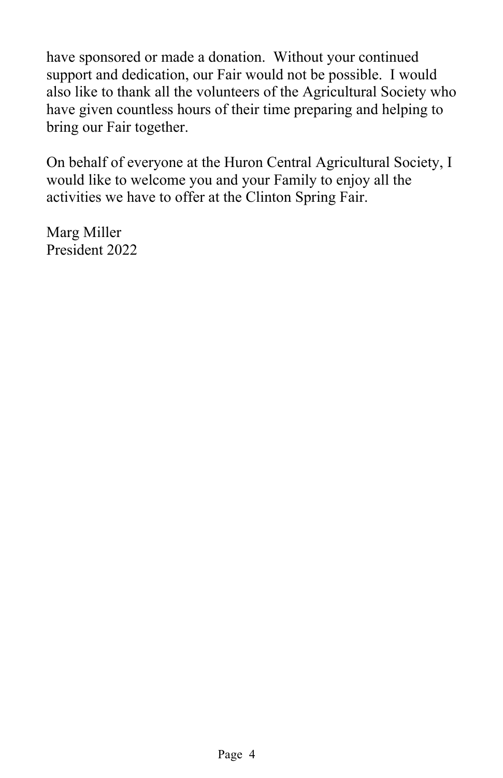have sponsored or made a donation. Without your continued support and dedication, our Fair would not be possible. I would also like to thank all the volunteers of the Agricultural Society who have given countless hours of their time preparing and helping to bring our Fair together.

On behalf of everyone at the Huron Central Agricultural Society, I would like to welcome you and your Family to enjoy all the activities we have to offer at the Clinton Spring Fair.

Marg Miller President 2022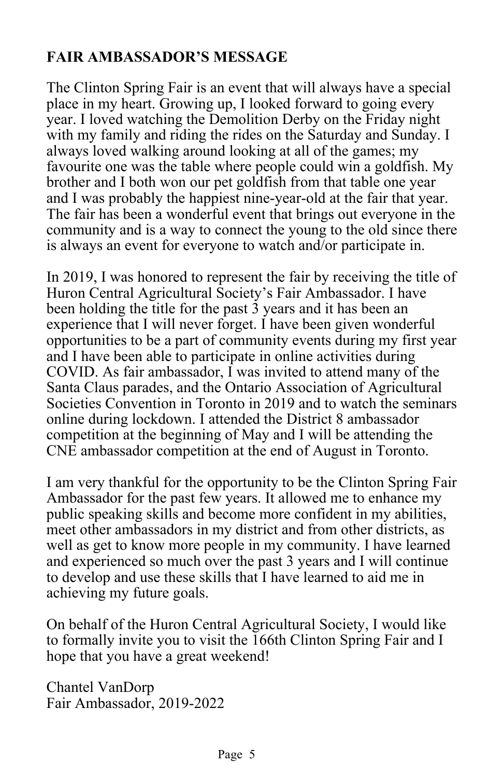## **FAIR AMBASSADOR'S MESSAGE**

The Clinton Spring Fair is an event that will always have a special place in my heart. Growing up, I looked forward to going every year. I loved watching the Demolition Derby on the Friday night with my family and riding the rides on the Saturday and Sunday. I always loved walking around looking at all of the games; my favourite one was the table where people could win a goldfish. My brother and I both won our pet goldfish from that table one year and I was probably the happiest nine-year-old at the fair that year. The fair has been a wonderful event that brings out everyone in the community and is a way to connect the young to the old since there is always an event for everyone to watch and/or participate in.

In 2019, I was honored to represent the fair by receiving the title of Huron Central Agricultural Society's Fair Ambassador. I have been holding the title for the past 3 years and it has been an experience that I will never forget. I have been given wonderful opportunities to be a part of community events during my first year and I have been able to participate in online activities during COVID. As fair ambassador, I was invited to attend many of the Santa Claus parades, and the Ontario Association of Agricultural Societies Convention in Toronto in 2019 and to watch the seminars online during lockdown. I attended the District 8 ambassador competition at the beginning of May and I will be attending the CNE ambassador competition at the end of August in Toronto.

I am very thankful for the opportunity to be the Clinton Spring Fair Ambassador for the past few years. It allowed me to enhance my public speaking skills and become more confident in my abilities, meet other ambassadors in my district and from other districts, as well as get to know more people in my community. I have learned and experienced so much over the past 3 years and I will continue to develop and use these skills that I have learned to aid me in achieving my future goals.

On behalf of the Huron Central Agricultural Society, I would like to formally invite you to visit the 166th Clinton Spring Fair and I hope that you have a great weekend!

Chantel VanDorp Fair Ambassador, 2019-2022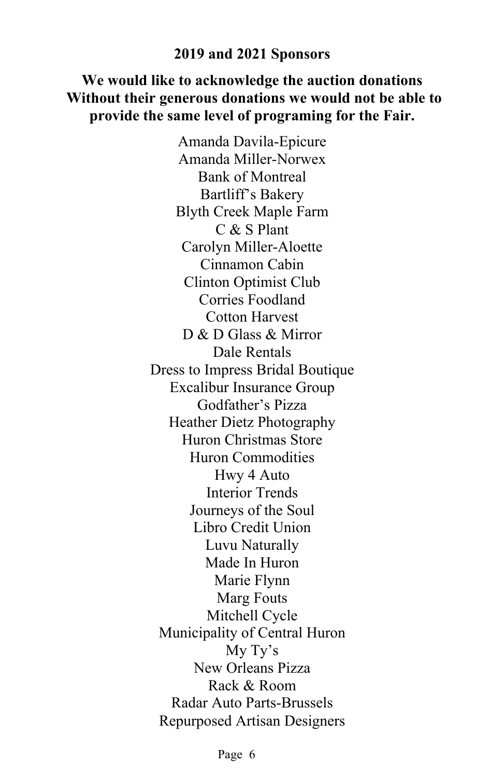#### **2019 and 2021 Sponsors**

## **We would like to acknowledge the auction donations Without their generous donations we would not be able to provide the same level of programing for the Fair.**

Amanda Davila-Epicure Amanda Miller-Norwex Bank of Montreal Bartliff's Bakery Blyth Creek Maple Farm C & S Plant Carolyn Miller-Aloette Cinnamon Cabin Clinton Optimist Club Corries Foodland Cotton Harvest D & D Glass & Mirror Dale Rentals Dress to Impress Bridal Boutique Excalibur Insurance Group Godfather's Pizza Heather Dietz Photography Huron Christmas Store Huron Commodities Hwy 4 Auto Interior Trends Journeys of the Soul Libro Credit Union Luvu Naturally Made In Huron Marie Flynn Marg Fouts Mitchell Cycle Municipality of Central Huron My Ty's New Orleans Pizza Rack & Room Radar Auto Parts-Brussels Repurposed Artisan Designers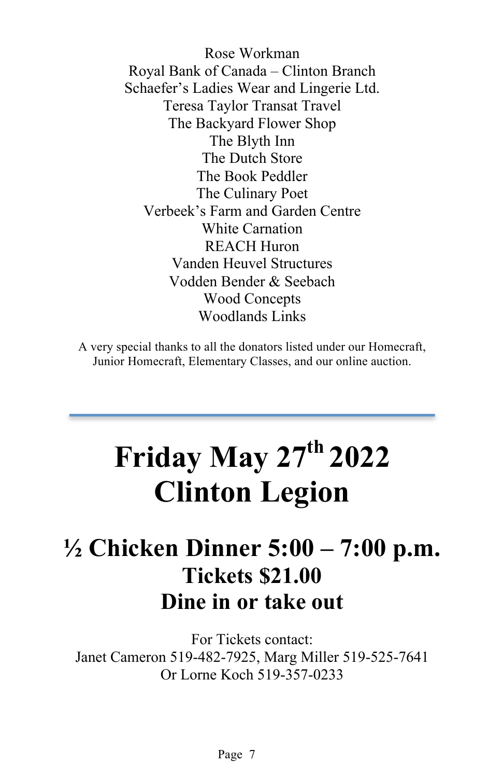Rose Workman Royal Bank of Canada – Clinton Branch Schaefer's Ladies Wear and Lingerie Ltd. Teresa Taylor Transat Travel The Backyard Flower Shop The Blyth Inn The Dutch Store The Book Peddler The Culinary Poet Verbeek's Farm and Garden Centre White Carnation REACH Huron Vanden Heuvel Structures Vodden Bender & Seebach Wood Concepts Woodlands Links

A very special thanks to all the donators listed under our Homecraft, Junior Homecraft, Elementary Classes, and our online auction.

# **Friday May 27th 2022 Clinton Legion**

## **½ Chicken Dinner 5:00 – 7:00 p.m. Tickets \$21.00 Dine in or take out**

For Tickets contact: Janet Cameron 519-482-7925, Marg Miller 519-525-7641 Or Lorne Koch 519-357-0233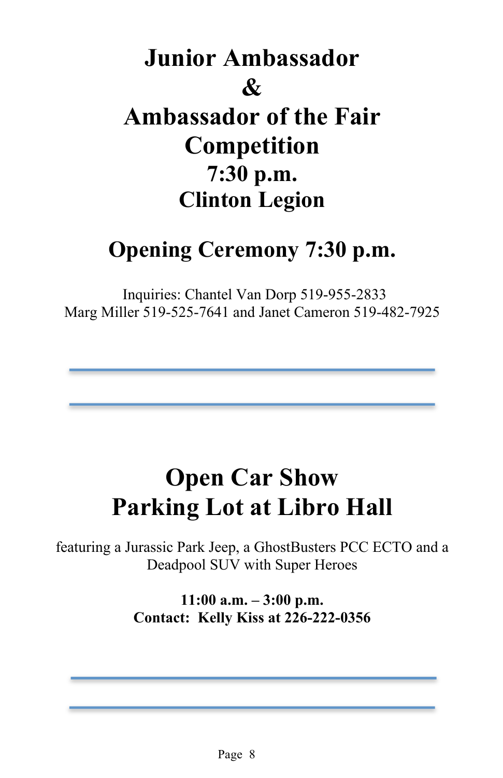## **Junior Ambassador & Ambassador of the Fair Competition 7:30 p.m. Clinton Legion**

## **Opening Ceremony 7:30 p.m.**

Inquiries: Chantel Van Dorp 519-955-2833 Marg Miller 519-525-7641 and Janet Cameron 519-482-7925

## **Open Car Show Parking Lot at Libro Hall**

featuring a Jurassic Park Jeep, a GhostBusters PCC ECTO and a Deadpool SUV with Super Heroes

> **11:00 a.m. – 3:00 p.m. Contact: Kelly Kiss at 226-222-0356**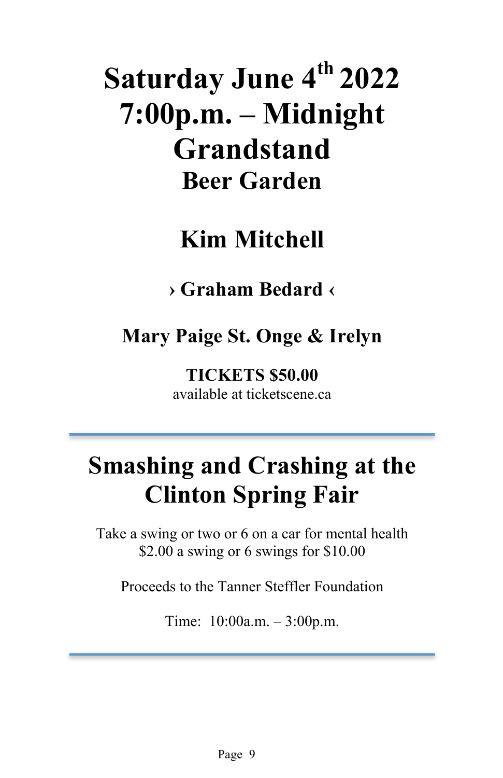# **Saturday June 4th 2022 7:00p.m. – Midnight Grandstand Beer Garden**

## **Kim Mitchell**

## **› Graham Bedard ‹**

## **Mary Paige St. Onge & Irelyn**

**TICKETS \$50.00**  available at ticketscene.ca

## **Smashing and Crashing at the Clinton Spring Fair**

Take a swing or two or 6 on a car for mental health \$2.00 a swing or 6 swings for \$10.00

Proceeds to the Tanner Steffler Foundation

Time: 10:00a.m. – 3:00p.m.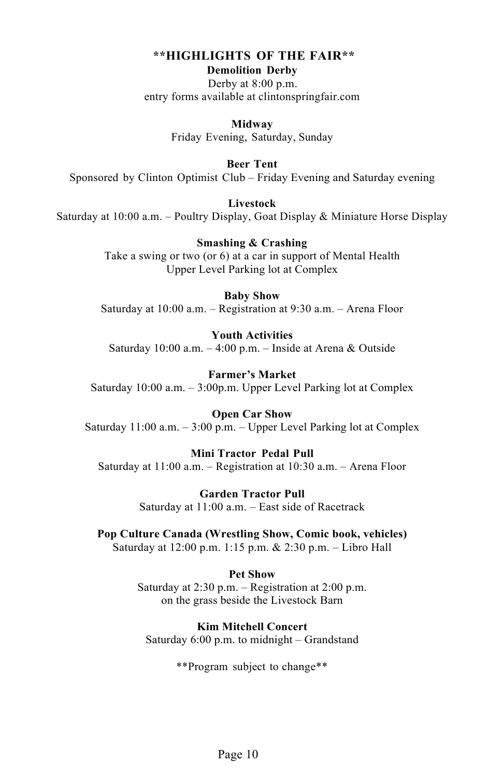#### **\*\*HIGHLIGHTS OF THE FAIR\*\* Demolition Derby**

Derby at 8:00 p.m. entry forms available at clintonspringfair.com

> **Midway** Friday Evening, Saturday, Sunday

**Beer Tent** Sponsored by Clinton Optimist Club – Friday Evening and Saturday evening

**Livestock**  Saturday at 10:00 a.m. – Poultry Display, Goat Display & Miniature Horse Display

> **Smashing & Crashing** Take a swing or two (or 6) at a car in support of Mental Health Upper Level Parking lot at Complex

**Baby Show** Saturday at 10:00 a.m. – Registration at 9:30 a.m. – Arena Floor

**Youth Activities** Saturday 10:00 a.m.  $-4:00$  p.m.  $-$  Inside at Arena & Outside

**Farmer's Market** Saturday 10:00 a.m. – 3:00p.m. Upper Level Parking lot at Complex

**Open Car Show** Saturday 11:00 a.m. – 3:00 p.m. – Upper Level Parking lot at Complex

**Mini Tractor Pedal Pull** Saturday at 11:00 a.m. – Registration at 10:30 a.m. – Arena Floor

> **Garden Tractor Pull** Saturday at 11:00 a.m. – East side of Racetrack

**Pop Culture Canada (Wrestling Show, Comic book, vehicles)** Saturday at 12:00 p.m. 1:15 p.m. & 2:30 p.m. – Libro Hall

> **Pet Show** Saturday at 2:30 p.m. – Registration at 2:00 p.m. on the grass beside the Livestock Barn

**Kim Mitchell Concert** Saturday 6:00 p.m. to midnight – Grandstand

\*\*Program subject to change\*\*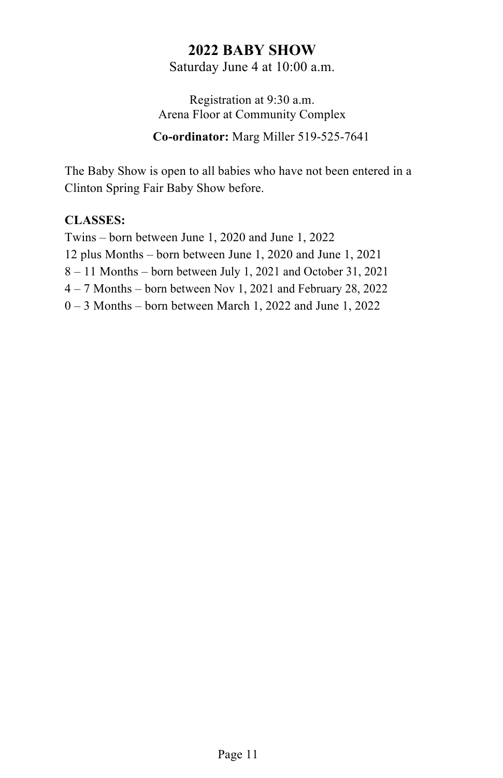## **2022 BABY SHOW**

Saturday June 4 at 10:00 a.m.

Registration at 9:30 a.m. Arena Floor at Community Complex

**Co-ordinator:** Marg Miller 519-525-7641

The Baby Show is open to all babies who have not been entered in a Clinton Spring Fair Baby Show before.

#### **CLASSES:**

Twins – born between June 1, 2020 and June 1, 2022 12 plus Months – born between June 1, 2020 and June 1, 2021 8 – 11 Months – born between July 1, 2021 and October 31, 2021 4 – 7 Months – born between Nov 1, 2021 and February 28, 2022 0 – 3 Months – born between March 1, 2022 and June 1, 2022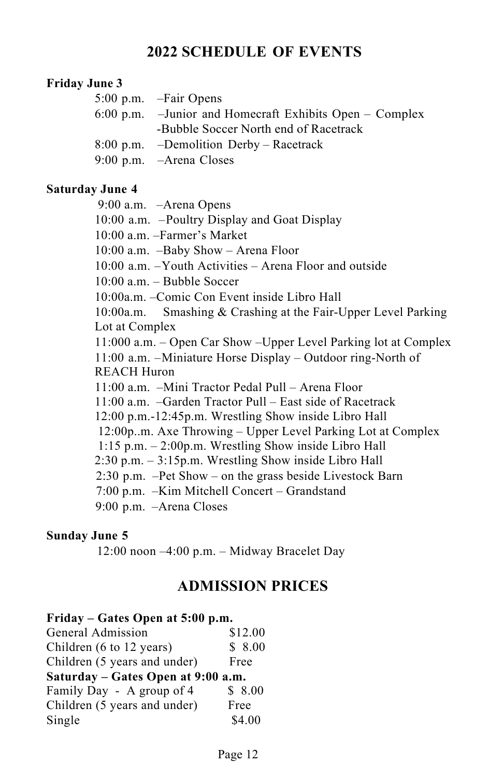## **2022 SCHEDULE OF EVENTS**

#### **Friday June 3**

| 5:00 p.m. – Fair Opens                                       |
|--------------------------------------------------------------|
| $6:00$ p.m. $-$ Junior and Homecraft Exhibits Open – Complex |
| -Bubble Soccer North end of Racetrack                        |
| 8:00 p.m. – Demolition Derby – Racetrack                     |
| 9:00 p.m. – Arena Closes                                     |
|                                                              |

#### **Saturday June 4**

9:00 a.m. –Arena Opens

10:00 a.m. –Poultry Display and Goat Display

10:00 a.m. –Farmer's Market

10:00 a.m. –Baby Show – Arena Floor

10:00 a.m. –Youth Activities – Arena Floor and outside

 $10:00$  a.m. – Bubble Soccer

10:00a.m. –Comic Con Event inside Libro Hall

10:00a.m. Smashing & Crashing at the Fair-Upper Level Parking Lot at Complex

11:000 a.m. – Open Car Show –Upper Level Parking lot at Complex 11:00 a.m. –Miniature Horse Display – Outdoor ring-North of REACH Huron

11:00 a.m. –Mini Tractor Pedal Pull – Arena Floor

11:00 a.m. –Garden Tractor Pull – East side of Racetrack

12:00 p.m.-12:45p.m. Wrestling Show inside Libro Hall

12:00p..m. Axe Throwing – Upper Level Parking Lot at Complex

1:15 p.m. – 2:00p.m. Wrestling Show inside Libro Hall

2:30 p.m. – 3:15p.m. Wrestling Show inside Libro Hall

2:30 p.m. –Pet Show – on the grass beside Livestock Barn

7:00 p.m. –Kim Mitchell Concert – Grandstand

9:00 p.m. –Arena Closes

#### **Sunday June 5**

12:00 noon –4:00 p.m. – Midway Bracelet Day

## **ADMISSION PRICES**

#### **Friday – Gates Open at 5:00 p.m.**

| General Admission                  | \$12.00 |  |
|------------------------------------|---------|--|
| Children (6 to 12 years)           | \$8.00  |  |
| Children (5 years and under)       | Free    |  |
| Saturday – Gates Open at 9:00 a.m. |         |  |
| Family Day - A group of 4          | \$8.00  |  |
| Children (5 years and under)       | Free    |  |
| Single                             | \$4.00  |  |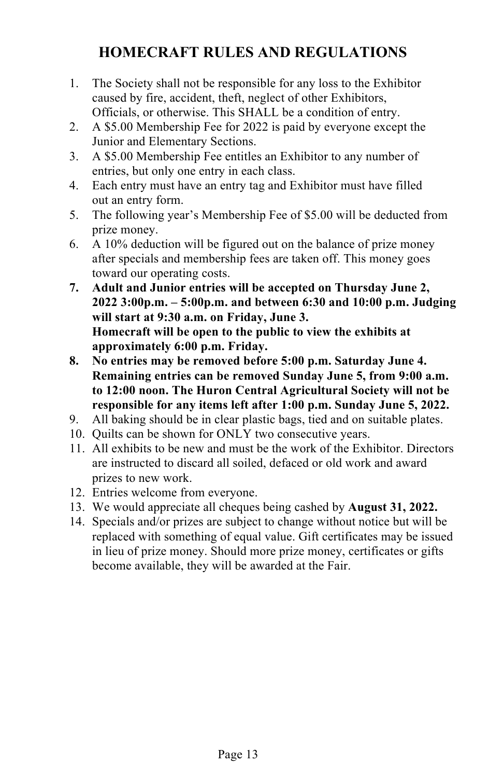## **HOMECRAFT RULES AND REGULATIONS**

- 1. The Society shall not be responsible for any loss to the Exhibitor caused by fire, accident, theft, neglect of other Exhibitors, Officials, or otherwise. This SHALL be a condition of entry.
- 2. A \$5.00 Membership Fee for 2022 is paid by everyone except the Junior and Elementary Sections.
- 3. A \$5.00 Membership Fee entitles an Exhibitor to any number of entries, but only one entry in each class.
- 4. Each entry must have an entry tag and Exhibitor must have filled out an entry form.
- 5. The following year's Membership Fee of \$5.00 will be deducted from prize money.
- 6. A 10% deduction will be figured out on the balance of prize money after specials and membership fees are taken off. This money goes toward our operating costs.
- **7. Adult and Junior entries will be accepted on Thursday June 2, 2022 3:00p.m. – 5:00p.m. and between 6:30 and 10:00 p.m. Judging will start at 9:30 a.m. on Friday, June 3. Homecraft will be open to the public to view the exhibits at approximately 6:00 p.m. Friday.**
- **8. No entries may be removed before 5:00 p.m. Saturday June 4. Remaining entries can be removed Sunday June 5, from 9:00 a.m. to 12:00 noon. The Huron Central Agricultural Society will not be responsible for any items left after 1:00 p.m. Sunday June 5, 2022.**
- 9. All baking should be in clear plastic bags, tied and on suitable plates.
- 10. Quilts can be shown for ONLY two consecutive years.
- 11. All exhibits to be new and must be the work of the Exhibitor. Directors are instructed to discard all soiled, defaced or old work and award prizes to new work.
- 12. Entries welcome from everyone.
- 13. We would appreciate all cheques being cashed by **August 31, 2022.**
- 14. Specials and/or prizes are subject to change without notice but will be replaced with something of equal value. Gift certificates may be issued in lieu of prize money. Should more prize money, certificates or gifts become available, they will be awarded at the Fair.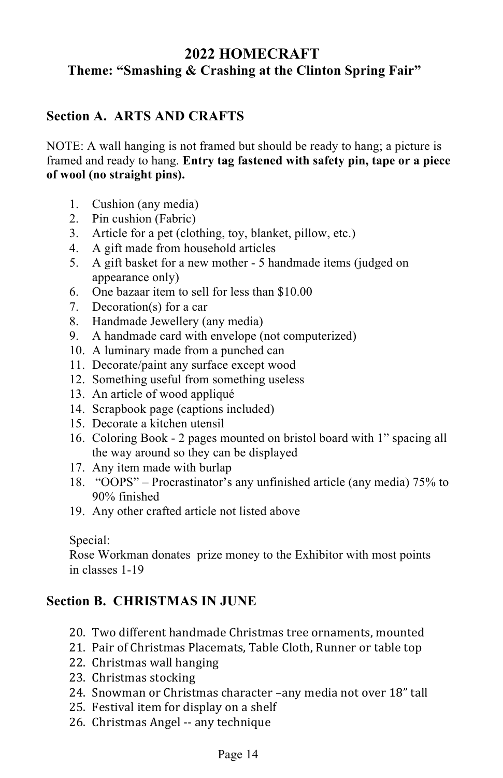## **2022 HOMECRAFT Theme: "Smashing & Crashing at the Clinton Spring Fair"**

### **Section A. ARTS AND CRAFTS**

NOTE: A wall hanging is not framed but should be ready to hang; a picture is framed and ready to hang. **Entry tag fastened with safety pin, tape or a piece of wool (no straight pins).**

- 1. Cushion (any media)
- 2. Pin cushion (Fabric)
- 3. Article for a pet (clothing, toy, blanket, pillow, etc.)
- 4. A gift made from household articles
- 5. A gift basket for a new mother 5 handmade items (judged on appearance only)
- 6. One bazaar item to sell for less than \$10.00
- 7. Decoration(s) for a car
- 8. Handmade Jewellery (any media)
- 9. A handmade card with envelope (not computerized)
- 10. A luminary made from a punched can
- 11. Decorate/paint any surface except wood
- 12. Something useful from something useless
- 13. An article of wood appliqué
- 14. Scrapbook page (captions included)
- 15. Decorate a kitchen utensil
- 16. Coloring Book 2 pages mounted on bristol board with 1" spacing all the way around so they can be displayed
- 17. Any item made with burlap
- 18. "OOPS" Procrastinator's any unfinished article (any media) 75% to 90% finished
- 19. Any other crafted article not listed above

#### Special:

Rose Workman donates prize money to the Exhibitor with most points in classes 1-19

#### **Section B. CHRISTMAS IN JUNE**

- 20. Two different handmade Christmas tree ornaments, mounted
- 21. Pair of Christmas Placemats, Table Cloth, Runner or table top
- 22. Christmas wall hanging
- 23. Christmas stocking
- 24. Snowman or Christmas character -any media not over 18" tall
- 25. Festival item for display on a shelf
- 26. Christmas Angel -- any technique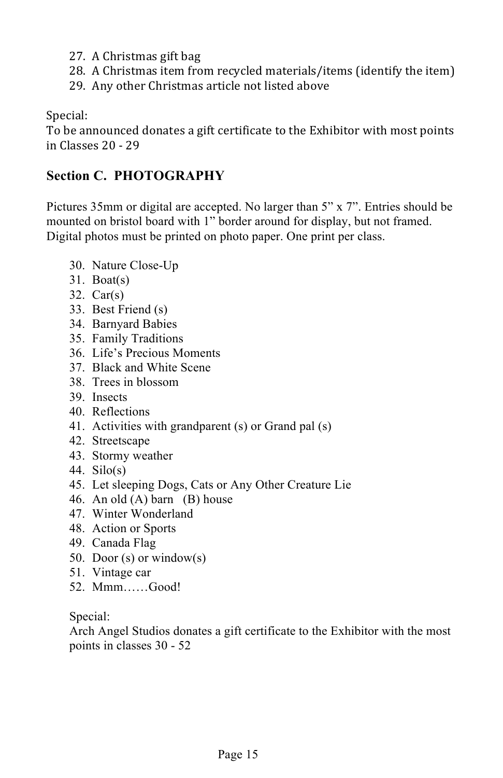- 27. A Christmas gift bag
- 28. A Christmas item from recycled materials/items (identify the item)
- 29. Any other Christmas article not listed above

Special:

To be announced donates a gift certificate to the Exhibitor with most points in Classes 20 - 29

## **Section C. PHOTOGRAPHY**

Pictures 35mm or digital are accepted. No larger than 5" x 7". Entries should be mounted on bristol board with 1" border around for display, but not framed. Digital photos must be printed on photo paper. One print per class.

- 30. Nature Close-Up
- 31. Boat(s)
- 32. Car(s)
- 33. Best Friend (s)
- 34. Barnyard Babies
- 35. Family Traditions
- 36. Life's Precious Moments
- 37. Black and White Scene
- 38. Trees in blossom
- 39. Insects
- 40. Reflections
- 41. Activities with grandparent (s) or Grand pal (s)
- 42. Streetscape
- 43. Stormy weather
- 44. Silo(s)
- 45. Let sleeping Dogs, Cats or Any Other Creature Lie
- 46. An old (A) barn (B) house
- 47. Winter Wonderland
- 48. Action or Sports
- 49. Canada Flag
- 50. Door (s) or window(s)
- 51. Vintage car
- 52. Mmm……Good!

Special:

Arch Angel Studios donates a gift certificate to the Exhibitor with the most points in classes 30 - 52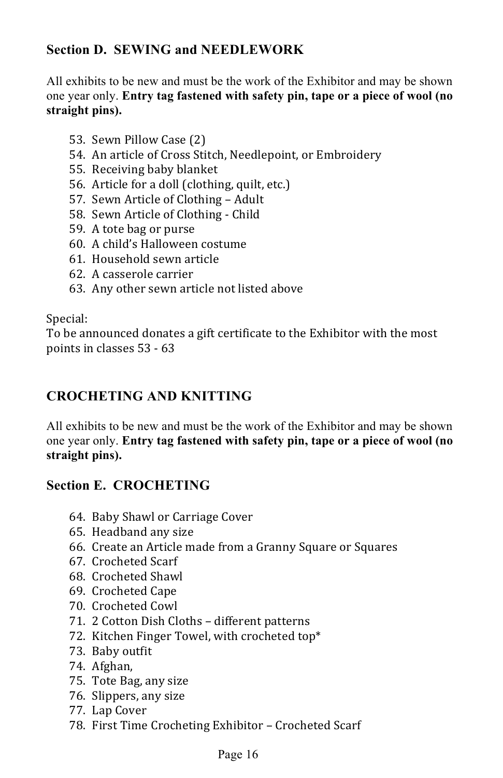## **Section D. SEWING and NEEDLEWORK**

All exhibits to be new and must be the work of the Exhibitor and may be shown one year only. **Entry tag fastened with safety pin, tape or a piece of wool (no straight pins).**

- 53. Sewn Pillow Case (2)
- 54. An article of Cross Stitch, Needlepoint, or Embroidery
- 55. Receiving baby blanket
- 56. Article for a doll (clothing, quilt, etc.)
- 57. Sewn Article of Clothing Adult
- 58. Sewn Article of Clothing Child
- 59. A tote bag or purse
- 60. A child's Halloween costume
- 61. Household sewn article
- 62. A casserole carrier
- 63. Any other sewn article not listed above

#### Special:

To be announced donates a gift certificate to the Exhibitor with the most points in classes 53 - 63

#### **CROCHETING AND KNITTING**

All exhibits to be new and must be the work of the Exhibitor and may be shown one year only. **Entry tag fastened with safety pin, tape or a piece of wool (no straight pins).**

#### **Section E. CROCHETING**

- 64. Baby Shawl or Carriage Cover
- 65. Headband any size
- 66. Create an Article made from a Granny Square or Squares
- 67. Crocheted Scarf
- 68. Crocheted Shawl
- 69. Crocheted Cape
- 70. Crocheted Cowl
- 71. 2 Cotton Dish Cloths different patterns
- 72. Kitchen Finger Towel, with crocheted top\*
- 73. Baby outfit
- 74. Afghan,
- 75. Tote Bag, any size
- 76. Slippers, any size
- 77. Lap Cover
- 78. First Time Crocheting Exhibitor Crocheted Scarf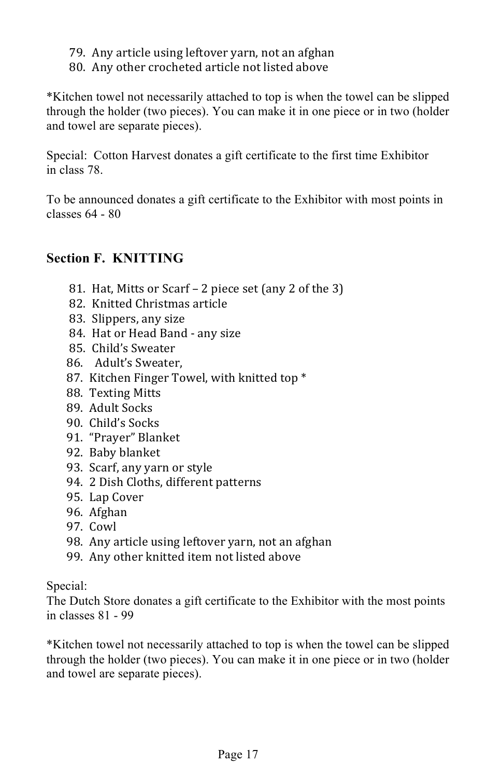- 79. Any article using leftover yarn, not an afghan
- 80. Any other crocheted article not listed above

\*Kitchen towel not necessarily attached to top is when the towel can be slipped through the holder (two pieces). You can make it in one piece or in two (holder and towel are separate pieces).

Special: Cotton Harvest donates a gift certificate to the first time Exhibitor in class 78.

To be announced donates a gift certificate to the Exhibitor with most points in classes 64 - 80

### **Section F. KNITTING**

- 81. Hat, Mitts or Scarf 2 piece set (any 2 of the 3)
- 82. Knitted Christmas article
- 83. Slippers, any size
- 84. Hat or Head Band any size
- 85. Child's Sweater
- 86. Adult's Sweater,
- 87. Kitchen Finger Towel, with knitted top \*
- 88. Texting Mitts
- 89. Adult Socks
- 90. Child's Socks
- 91. "Prayer" Blanket
- 92. Baby blanket
- 93. Scarf, any yarn or style
- 94. 2 Dish Cloths, different patterns
- 95. Lap Cover
- 96. Afghan
- 97. Cowl
- 98. Any article using leftover yarn, not an afghan
- 99. Any other knitted item not listed above

Special:

The Dutch Store donates a gift certificate to the Exhibitor with the most points in classes 81 - 99

\*Kitchen towel not necessarily attached to top is when the towel can be slipped through the holder (two pieces). You can make it in one piece or in two (holder and towel are separate pieces).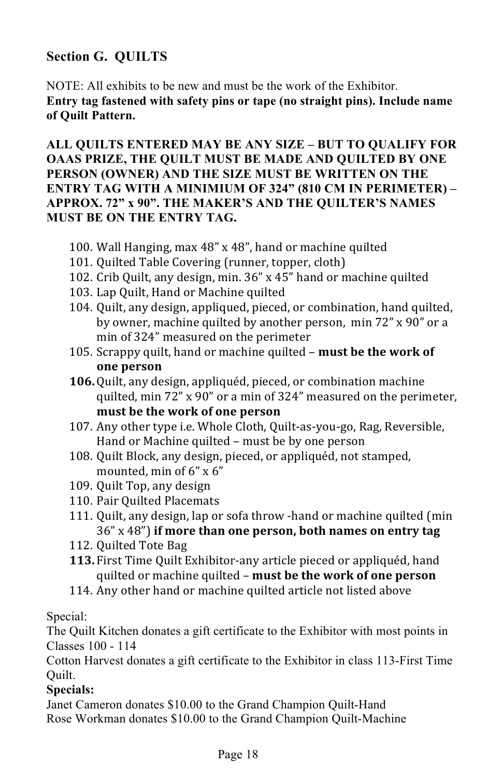## **Section G. QUILTS**

NOTE: All exhibits to be new and must be the work of the Exhibitor. **Entry tag fastened with safety pins or tape (no straight pins). Include name of Quilt Pattern.** 

**ALL QUILTS ENTERED MAY BE ANY SIZE – BUT TO QUALIFY FOR OAAS PRIZE, THE QUILT MUST BE MADE AND QUILTED BY ONE PERSON (OWNER) AND THE SIZE MUST BE WRITTEN ON THE ENTRY TAG WITH A MINIMIUM OF 324" (810 CM IN PERIMETER) – APPROX. 72" x 90". THE MAKER'S AND THE QUILTER'S NAMES MUST BE ON THE ENTRY TAG.** 

- 100. Wall Hanging, max 48" x 48", hand or machine quilted
- 101. Quilted Table Covering (runner, topper, cloth)
- 102. Crib Quilt, any design, min. 36" x 45" hand or machine quilted
- 103. Lap Quilt, Hand or Machine quilted
- 104. Quilt, any design, appliqued, pieced, or combination, hand quilted, by owner, machine quilted by another person, min 72" x 90" or a min of 324" measured on the perimeter
- 105. Scrappy quilt, hand or machine quilted **must be the work of one person**
- **106.** Quilt, any design, appliquéd, pieced, or combination machine quilted,  $min\ 72$ " x 90" or a min of 324" measured on the perimeter, must be the work of one person
- 107. Any other type i.e. Whole Cloth, Quilt-as-you-go, Rag, Reversible, Hand or Machine quilted – must be by one person
- 108. Quilt Block, any design, pieced, or appliquéd, not stamped, mounted, min of  $6" \times 6"$
- 109. Quilt Top, any design
- 110. Pair Quilted Placemats
- 111. Quilt, any design, lap or sofa throw -hand or machine quilted (min 36" x 48") **if more than one person, both names on entry tag**
- 112. Quilted Tote Bag
- **113.** First Time Quilt Exhibitor-any article pieced or appliquéd, hand quilted or machine quilted - must be the work of one person
- 114. Any other hand or machine quilted article not listed above

#### Special:

The Quilt Kitchen donates a gift certificate to the Exhibitor with most points in Classes 100 - 114

Cotton Harvest donates a gift certificate to the Exhibitor in class 113-First Time Quilt.

#### **Specials:**

Janet Cameron donates \$10.00 to the Grand Champion Quilt-Hand Rose Workman donates \$10.00 to the Grand Champion Quilt-Machine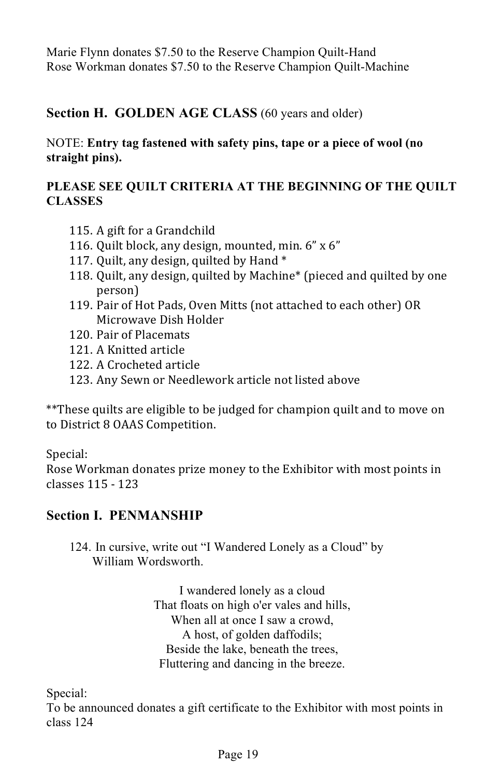Marie Flynn donates \$7.50 to the Reserve Champion Quilt-Hand Rose Workman donates \$7.50 to the Reserve Champion Quilt-Machine

#### **Section H. GOLDEN AGE CLASS** (60 years and older)

#### NOTE: **Entry tag fastened with safety pins, tape or a piece of wool (no straight pins).**

#### **PLEASE SEE QUILT CRITERIA AT THE BEGINNING OF THE QUILT CLASSES**

- 115. A gift for a Grandchild
- 116. Quilt block, any design, mounted, min.  $6" \times 6"$
- 117. Quilt, any design, quilted by Hand  $*$
- 118. Quilt, any design, quilted by Machine<sup>\*</sup> (pieced and quilted by one person)
- 119. Pair of Hot Pads, Oven Mitts (not attached to each other) OR Microwave Dish Holder
- 120 Pair of Placemats
- 121 A Knitted article
- 122. A Crocheted article
- 123. Any Sewn or Needlework article not listed above

\*\*These quilts are eligible to be judged for champion quilt and to move on to District 8 OAAS Competition.

Special:

Rose Workman donates prize money to the Exhibitor with most points in classes 115 - 123

#### **Section I. PENMANSHIP**

124. In cursive, write out "I Wandered Lonely as a Cloud" by William Wordsworth.

> I wandered lonely as a cloud That floats on high o'er vales and hills, When all at once I saw a crowd, A host, of golden daffodils; Beside the lake, beneath the trees, Fluttering and dancing in the breeze.

Special:

To be announced donates a gift certificate to the Exhibitor with most points in class 124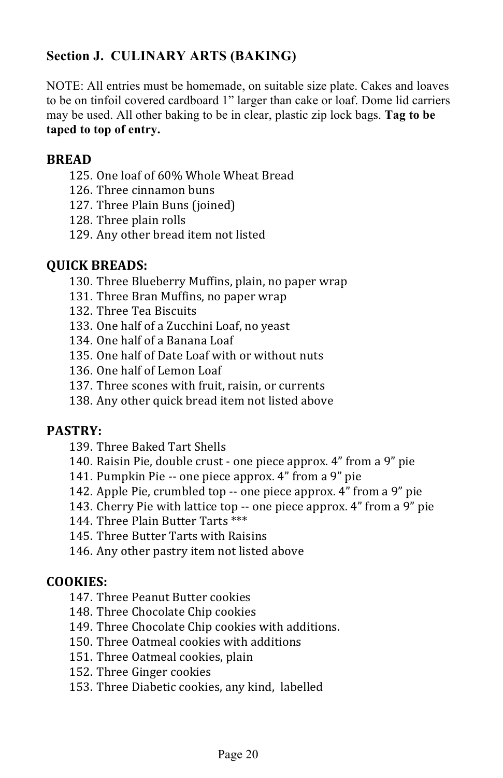## **Section J. CULINARY ARTS (BAKING)**

NOTE: All entries must be homemade, on suitable size plate. Cakes and loaves to be on tinfoil covered cardboard 1" larger than cake or loaf. Dome lid carriers may be used. All other baking to be in clear, plastic zip lock bags. **Tag to be taped to top of entry.**

#### **BREAD**

- 125. One loaf of 60% Whole Wheat Bread
- 126. Three cinnamon buns
- 127. Three Plain Buns (joined)
- 128. Three plain rolls
- 129. Any other bread item not listed

#### **QUICK BREADS:**

- 130. Three Blueberry Muffins, plain, no paper wrap
- 131. Three Bran Muffins, no paper wrap
- 132. Three Tea Biscuits
- 133. One half of a Zucchini Loaf, no yeast
- 134. One half of a Banana Loaf
- 135. One half of Date Loaf with or without nuts
- 136. One half of Lemon Loaf
- 137. Three scones with fruit, raisin, or currents
- 138. Any other quick bread item not listed above

#### **PASTRY:**

- 139. Three Baked Tart Shells
- 140. Raisin Pie, double crust one piece approx. 4" from a 9" pie
- 141. Pumpkin Pie -- one piece approx. 4" from a 9" pie
- 142. Apple Pie, crumbled top -- one piece approx. 4" from a 9" pie
- 143. Cherry Pie with lattice top  $-$  one piece approx. 4" from a  $9$ " pie
- 144. Three Plain Butter Tarts \*\*\*
- 145. Three Butter Tarts with Raisins
- 146. Any other pastry item not listed above

#### **COOKIES:**

- 147. Three Peanut Butter cookies
- 148. Three Chocolate Chip cookies
- 149. Three Chocolate Chip cookies with additions.
- 150. Three Oatmeal cookies with additions
- 151. Three Oatmeal cookies, plain
- 152. Three Ginger cookies
- 153. Three Diabetic cookies, any kind, labelled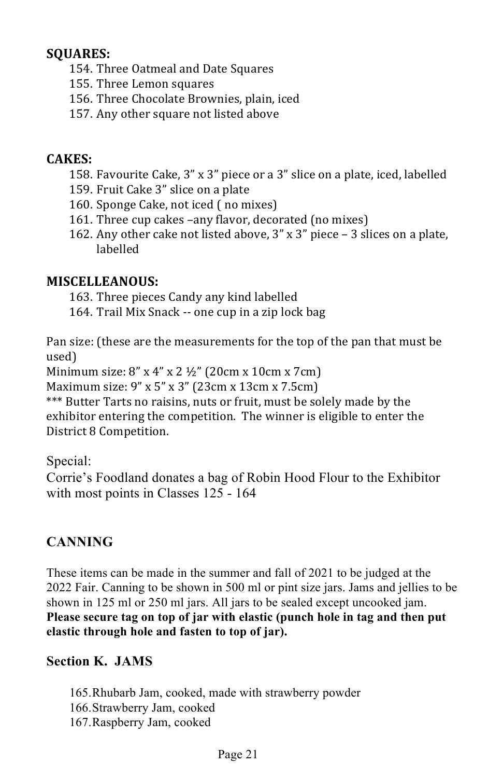#### **SQUARES:**

- 154. Three Oatmeal and Date Squares
- 155. Three Lemon squares
- 156. Three Chocolate Brownies, plain, iced
- 157. Any other square not listed above

## **CAKES:**

- 158. Favourite Cake, 3" x 3" piece or a 3" slice on a plate, iced, labelled
- 159. Fruit Cake 3" slice on a plate
- 160. Sponge Cake, not iced (no mixes)
- 161. Three cup cakes –any flavor, decorated (no mixes)
- 162. Any other cake not listed above,  $3''$  x  $3''$  piece  $-$  3 slices on a plate, labelled

### **MISCELLEANOUS:**

163. Three pieces Candy any kind labelled

164. Trail Mix Snack -- one cup in a zip lock bag

Pan size: (these are the measurements for the top of the pan that must be used)

Minimum size:  $8''$  x  $4''$  x  $2\frac{1}{2}$ " (20cm x 10cm x 7cm)

Maximum size:  $9''$  x  $5''$  x  $3''$  (23cm x 13cm x 7.5cm)

\*\*\* Butter Tarts no raisins, nuts or fruit, must be solely made by the exhibitor entering the competition. The winner is eligible to enter the District 8 Competition.

Special:

Corrie's Foodland donates a bag of Robin Hood Flour to the Exhibitor with most points in Classes 125 - 164

## **CANNING**

These items can be made in the summer and fall of 2021 to be judged at the 2022 Fair. Canning to be shown in 500 ml or pint size jars. Jams and jellies to be shown in 125 ml or 250 ml jars. All jars to be sealed except uncooked jam. **Please secure tag on top of jar with elastic (punch hole in tag and then put elastic through hole and fasten to top of jar).**

## **Section K. JAMS**

165.Rhubarb Jam, cooked, made with strawberry powder 166.Strawberry Jam, cooked 167.Raspberry Jam, cooked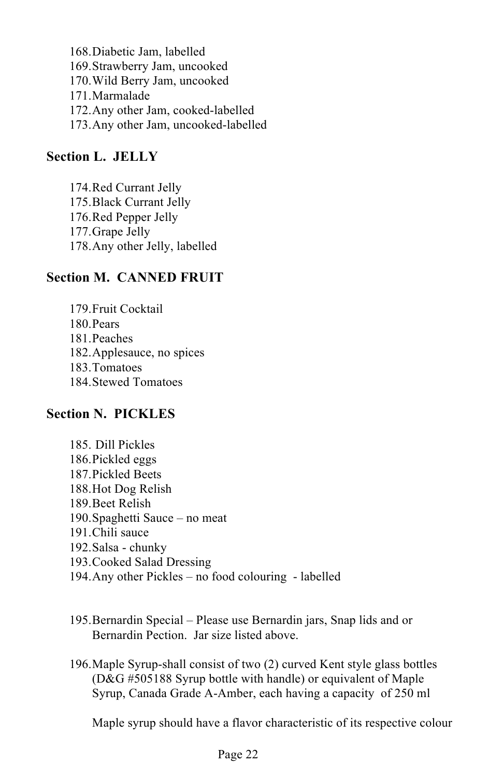168.Diabetic Jam, labelled 169.Strawberry Jam, uncooked 170.Wild Berry Jam, uncooked 171.Marmalade 172.Any other Jam, cooked-labelled 173.Any other Jam, uncooked-labelled

#### **Section L. JELLY**

174.Red Currant Jelly 175.Black Currant Jelly 176.Red Pepper Jelly 177.Grape Jelly 178.Any other Jelly, labelled

#### **Section M. CANNED FRUIT**

179.Fruit Cocktail 180.Pears 181.Peaches 182.Applesauce, no spices 183.Tomatoes 184.Stewed Tomatoes

#### **Section N. PICKLES**

- 185. Dill Pickles 186.Pickled eggs 187.Pickled Beets 188.Hot Dog Relish 189.Beet Relish 190.Spaghetti Sauce – no meat 191.Chili sauce 192.Salsa - chunky 193.Cooked Salad Dressing
- 194.Any other Pickles no food colouring labelled
- 195.Bernardin Special Please use Bernardin jars, Snap lids and or Bernardin Pection. Jar size listed above.
- 196.Maple Syrup-shall consist of two (2) curved Kent style glass bottles (D&G #505188 Syrup bottle with handle) or equivalent of Maple Syrup, Canada Grade A-Amber, each having a capacity of 250 ml

Maple syrup should have a flavor characteristic of its respective colour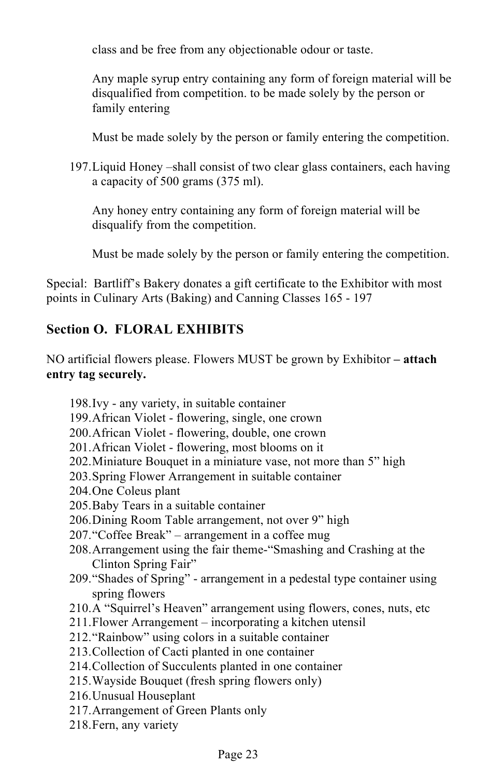class and be free from any objectionable odour or taste.

Any maple syrup entry containing any form of foreign material will be disqualified from competition. to be made solely by the person or family entering

Must be made solely by the person or family entering the competition.

197.Liquid Honey –shall consist of two clear glass containers, each having a capacity of 500 grams (375 ml).

Any honey entry containing any form of foreign material will be disqualify from the competition.

Must be made solely by the person or family entering the competition.

Special: Bartliff's Bakery donates a gift certificate to the Exhibitor with most points in Culinary Arts (Baking) and Canning Classes 165 - 197

## **Section O. FLORAL EXHIBITS**

NO artificial flowers please. Flowers MUST be grown by Exhibitor **– attach entry tag securely.**

198.Ivy - any variety, in suitable container 199.African Violet - flowering, single, one crown 200.African Violet - flowering, double, one crown 201.African Violet - flowering, most blooms on it 202.Miniature Bouquet in a miniature vase, not more than 5" high 203.Spring Flower Arrangement in suitable container 204.One Coleus plant 205.Baby Tears in a suitable container 206.Dining Room Table arrangement, not over 9" high 207."Coffee Break" – arrangement in a coffee mug 208.Arrangement using the fair theme-"Smashing and Crashing at the Clinton Spring Fair" 209."Shades of Spring" - arrangement in a pedestal type container using spring flowers 210.A "Squirrel's Heaven" arrangement using flowers, cones, nuts, etc 211.Flower Arrangement – incorporating a kitchen utensil 212."Rainbow" using colors in a suitable container 213.Collection of Cacti planted in one container 214.Collection of Succulents planted in one container 215.Wayside Bouquet (fresh spring flowers only) 216.Unusual Houseplant 217.Arrangement of Green Plants only 218.Fern, any variety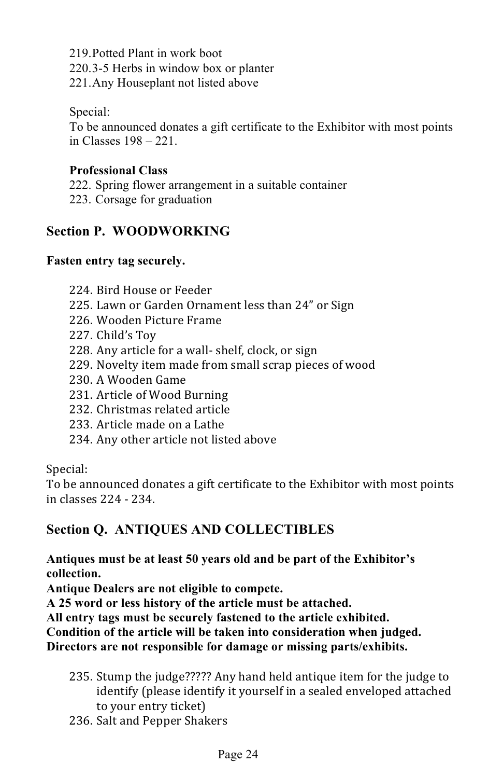219.Potted Plant in work boot 220.3-5 Herbs in window box or planter 221.Any Houseplant not listed above

Special:

To be announced donates a gift certificate to the Exhibitor with most points in Classes 198 – 221.

#### **Professional Class**

- 222. Spring flower arrangement in a suitable container
- 223. Corsage for graduation

#### **Section P. WOODWORKING**

#### **Fasten entry tag securely.**

- 224. Bird House or Feeder
- 225. Lawn or Garden Ornament less than 24" or Sign
- 226. Wooden Picture Frame
- 227. Child's Toy
- 228. Any article for a wall- shelf, clock, or sign
- 229. Novelty item made from small scrap pieces of wood
- 230. A Wooden Game
- 231. Article of Wood Burning
- 232. Christmas related article
- 233. Article made on a Lathe
- 234. Any other article not listed above

#### Special:

To be announced donates a gift certificate to the Exhibitor with most points in classes 224 - 234.

#### **Section Q. ANTIQUES AND COLLECTIBLES**

**Antiques must be at least 50 years old and be part of the Exhibitor's collection.** 

**Antique Dealers are not eligible to compete.** 

**A 25 word or less history of the article must be attached.** 

**All entry tags must be securely fastened to the article exhibited.** 

**Condition of the article will be taken into consideration when judged. Directors are not responsible for damage or missing parts/exhibits.**

- 235. Stump the judge????? Any hand held antique item for the judge to identify (please identify it yourself in a sealed enveloped attached to your entry ticket)
- 236. Salt and Pepper Shakers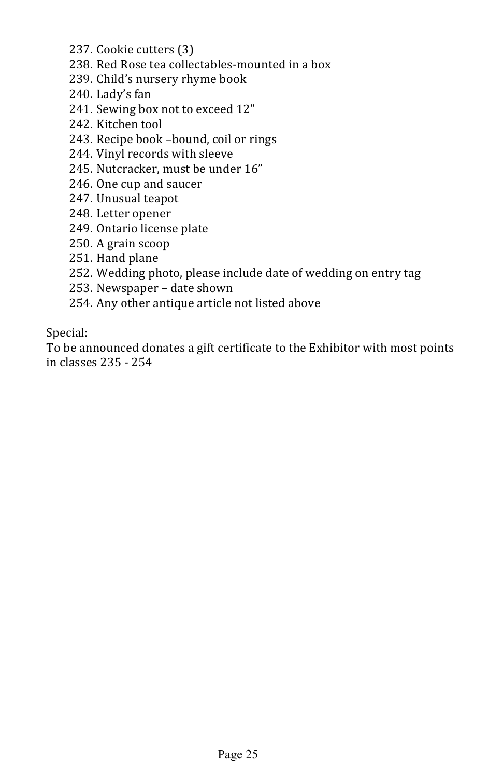- 237. Cookie cutters (3)
- 238. Red Rose tea collectables-mounted in a box
- 239. Child's nursery rhyme book
- 240. Lady's fan
- 241. Sewing box not to exceed 12"
- 242. Kitchen tool
- 243. Recipe book -bound, coil or rings
- 244. Vinyl records with sleeve
- 245. Nutcracker, must be under 16"
- 246. One cup and saucer
- 247. Unusual teapot
- 248. Letter opener
- 249. Ontario license plate
- 250. A grain scoop
- 251. Hand plane
- 252. Wedding photo, please include date of wedding on entry tag
- 253. Newspaper date shown
- 254. Any other antique article not listed above

Special:

To be announced donates a gift certificate to the Exhibitor with most points in classes 235 - 254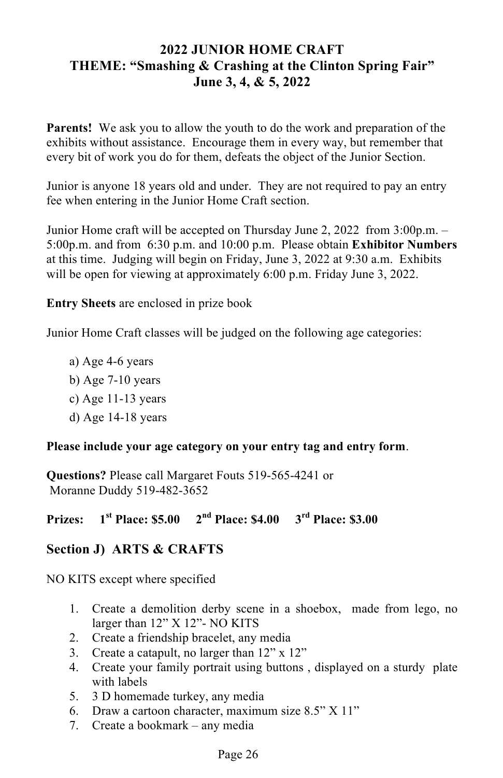#### **2022 JUNIOR HOME CRAFT THEME: "Smashing & Crashing at the Clinton Spring Fair" June 3, 4, & 5, 2022**

**Parents!** We ask you to allow the youth to do the work and preparation of the exhibits without assistance. Encourage them in every way, but remember that every bit of work you do for them, defeats the object of the Junior Section.

Junior is anyone 18 years old and under. They are not required to pay an entry fee when entering in the Junior Home Craft section.

Junior Home craft will be accepted on Thursday June 2, 2022 from 3:00p.m. – 5:00p.m. and from 6:30 p.m. and 10:00 p.m. Please obtain **Exhibitor Numbers** at this time. Judging will begin on Friday, June 3, 2022 at 9:30 a.m. Exhibits will be open for viewing at approximately 6:00 p.m. Friday June 3, 2022.

**Entry Sheets** are enclosed in prize book

Junior Home Craft classes will be judged on the following age categories:

a) Age 4-6 years b) Age 7-10 years c) Age 11-13 years d) Age 14-18 years

#### **Please include your age category on your entry tag and entry form**.

**Questions?** Please call Margaret Fouts 519-565-4241 or Moranne Duddy 519-482-3652

#### **Prizes: 1st Place: \$5.00 2nd Place: \$4.00 3rd Place: \$3.00**

#### **Section J) ARTS & CRAFTS**

NO KITS except where specified

- 1. Create a demolition derby scene in a shoebox, made from lego, no larger than 12" X 12"- NO KITS
- 2. Create a friendship bracelet, any media
- 3. Create a catapult, no larger than 12" x 12"
- 4. Create your family portrait using buttons , displayed on a sturdy plate with labels
- 5. 3 D homemade turkey, any media
- 6. Draw a cartoon character, maximum size 8.5" X 11"
- 7. Create a bookmark any media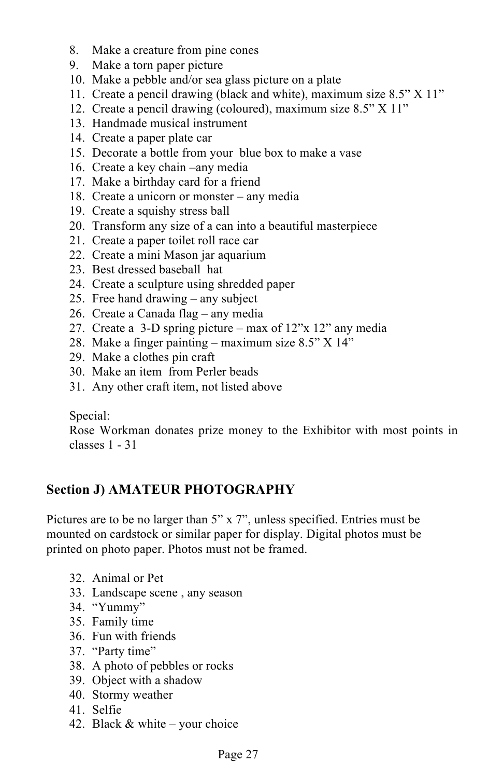- 8. Make a creature from pine cones
- 9. Make a torn paper picture
- 10. Make a pebble and/or sea glass picture on a plate
- 11. Create a pencil drawing (black and white), maximum size 8.5" X 11"
- 12. Create a pencil drawing (coloured), maximum size 8.5" X 11"
- 13. Handmade musical instrument
- 14. Create a paper plate car
- 15. Decorate a bottle from your blue box to make a vase
- 16. Create a key chain –any media
- 17. Make a birthday card for a friend
- 18. Create a unicorn or monster any media
- 19. Create a squishy stress ball
- 20. Transform any size of a can into a beautiful masterpiece
- 21. Create a paper toilet roll race car
- 22. Create a mini Mason jar aquarium
- 23. Best dressed baseball hat
- 24. Create a sculpture using shredded paper
- 25. Free hand drawing any subject
- 26. Create a Canada flag any media
- 27. Create a 3-D spring picture max of 12"x 12" any media
- 28. Make a finger painting maximum size 8.5" X 14"
- 29. Make a clothes pin craft
- 30. Make an item from Perler beads
- 31. Any other craft item, not listed above

#### Special:

Rose Workman donates prize money to the Exhibitor with most points in classes 1 - 31

#### **Section J) AMATEUR PHOTOGRAPHY**

Pictures are to be no larger than 5" x 7", unless specified. Entries must be mounted on cardstock or similar paper for display. Digital photos must be printed on photo paper. Photos must not be framed.

- 32. Animal or Pet
- 33. Landscape scene , any season
- 34. "Yummy"
- 35. Family time
- 36. Fun with friends
- 37. "Party time"
- 38. A photo of pebbles or rocks
- 39. Object with a shadow
- 40. Stormy weather
- 41. Selfie
- 42. Black  $&$  white your choice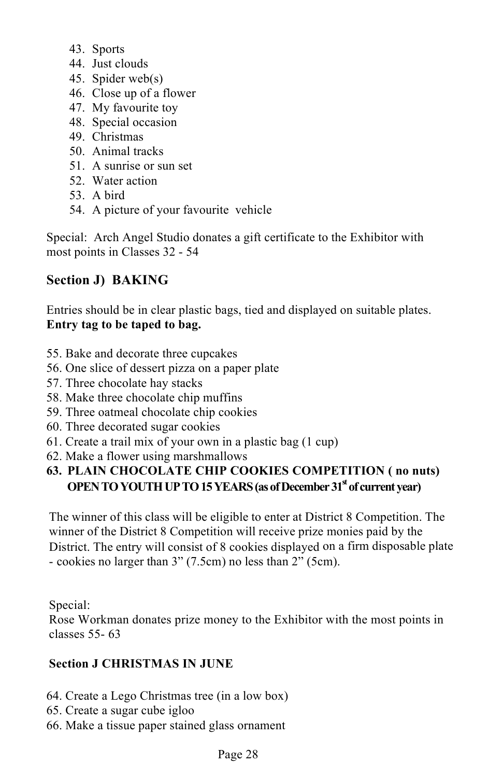- 43. Sports
- 44. Just clouds
- 45. Spider web(s)
- 46. Close up of a flower
- 47. My favourite toy
- 48. Special occasion
- 49. Christmas
- 50. Animal tracks
- 51. A sunrise or sun set
- 52. Water action
- 53. A bird
- 54. A picture of your favourite vehicle

Special: Arch Angel Studio donates a gift certificate to the Exhibitor with most points in Classes 32 - 54

### **Section J) BAKING**

Entries should be in clear plastic bags, tied and displayed on suitable plates. **Entry tag to be taped to bag.**

- 55. Bake and decorate three cupcakes
- 56. One slice of dessert pizza on a paper plate
- 57. Three chocolate hay stacks
- 58. Make three chocolate chip muffins
- 59. Three oatmeal chocolate chip cookies
- 60. Three decorated sugar cookies
- 61. Create a trail mix of your own in a plastic bag (1 cup)
- 62. Make a flower using marshmallows

#### **63. PLAIN CHOCOLATE CHIP COOKIES COMPETITION ( no nuts) OPEN TO YOUTH UP TO 15 YEARS (as of December 31<sup>st</sup> of current year)**

The winner of this class will be eligible to enter at District 8 Competition. The winner of the District 8 Competition will receive prize monies paid by the District. The entry will consist of 8 cookies displayed on a firm disposable plate - cookies no larger than 3" (7.5cm) no less than 2" (5cm).

Special:

Rose Workman donates prize money to the Exhibitor with the most points in classes 55- 63

#### **Section J CHRISTMAS IN JUNE**

- 64. Create a Lego Christmas tree (in a low box)
- 65. Create a sugar cube igloo
- 66. Make a tissue paper stained glass ornament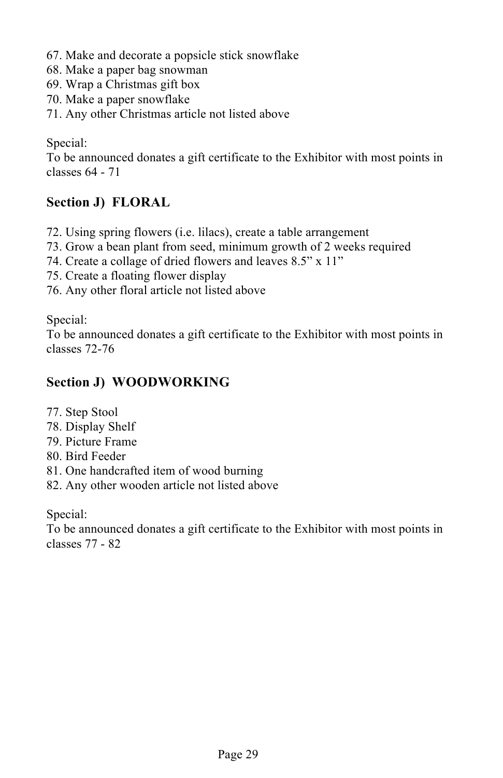- 67. Make and decorate a popsicle stick snowflake
- 68. Make a paper bag snowman
- 69. Wrap a Christmas gift box
- 70. Make a paper snowflake
- 71. Any other Christmas article not listed above

Special:

To be announced donates a gift certificate to the Exhibitor with most points in classes 64 - 71

#### **Section J) FLORAL**

- 72. Using spring flowers (i.e. lilacs), create a table arrangement
- 73. Grow a bean plant from seed, minimum growth of 2 weeks required
- 74. Create a collage of dried flowers and leaves 8.5" x 11"
- 75. Create a floating flower display
- 76. Any other floral article not listed above

Special:

To be announced donates a gift certificate to the Exhibitor with most points in classes 72-76

#### **Section J) WOODWORKING**

- 77. Step Stool
- 78. Display Shelf
- 79. Picture Frame
- 80. Bird Feeder
- 81. One handcrafted item of wood burning
- 82. Any other wooden article not listed above

Special:

To be announced donates a gift certificate to the Exhibitor with most points in classes 77 - 82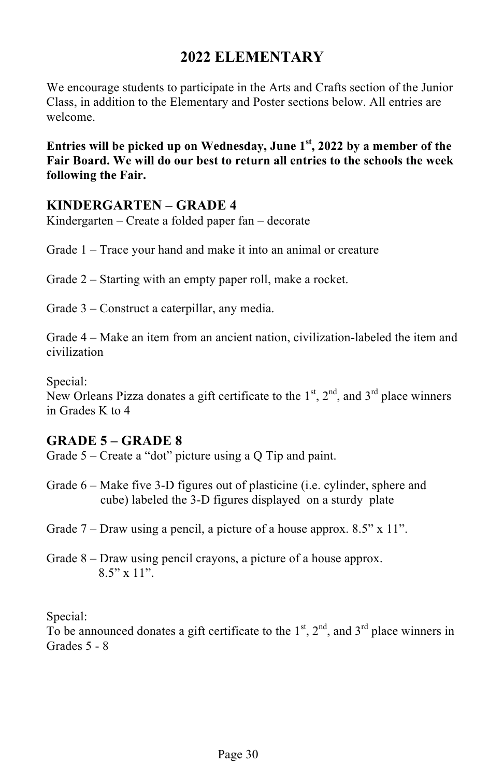## **2022 ELEMENTARY**

We encourage students to participate in the Arts and Crafts section of the Junior Class, in addition to the Elementary and Poster sections below. All entries are welcome.

**Entries will be picked up on Wednesday, June 1st, 2022 by a member of the Fair Board. We will do our best to return all entries to the schools the week following the Fair.** 

#### **KINDERGARTEN – GRADE 4**

Kindergarten – Create a folded paper fan – decorate

Grade 1 – Trace your hand and make it into an animal or creature

Grade 2 – Starting with an empty paper roll, make a rocket.

Grade 3 – Construct a caterpillar, any media.

Grade 4 – Make an item from an ancient nation, civilization-labeled the item and civilization

Special:

New Orleans Pizza donates a gift certificate to the  $1<sup>st</sup>$ ,  $2<sup>nd</sup>$ , and  $3<sup>rd</sup>$  place winners in Grades K to 4

#### **GRADE 5 – GRADE 8**

Grade 5 – Create a "dot" picture using a Q Tip and paint.

Grade 6 – Make five 3-D figures out of plasticine (i.e. cylinder, sphere and cube) labeled the 3-D figures displayed on a sturdy plate

Grade 7 – Draw using a pencil, a picture of a house approx. 8.5" x 11".

Grade 8 – Draw using pencil crayons, a picture of a house approx.  $8.5"$  x 11".

Special:

To be announced donates a gift certificate to the  $1<sup>st</sup>$ ,  $2<sup>nd</sup>$ , and  $3<sup>rd</sup>$  place winners in Grades 5 - 8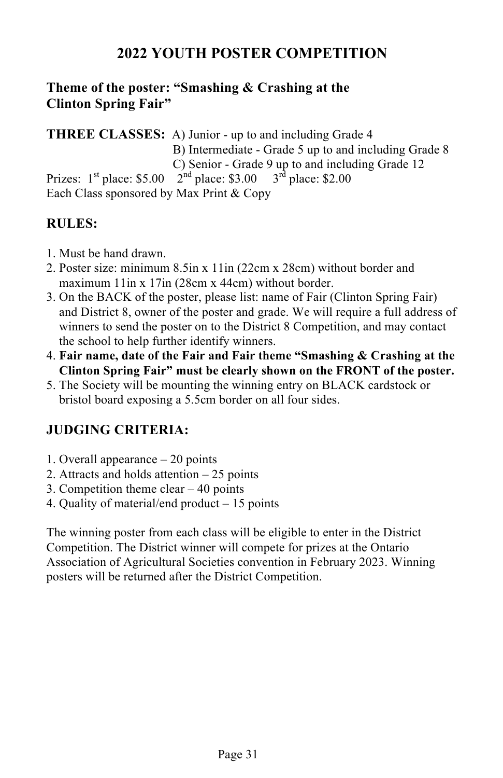## **2022 YOUTH POSTER COMPETITION**

## **Theme of the poster: "Smashing & Crashing at the Clinton Spring Fair"**

**THREE CLASSES:** A) Junior - up to and including Grade 4 B) Intermediate - Grade 5 up to and including Grade 8 C) Senior - Grade 9 up to and including Grade 12 Prizes:  $1^{st}$  place: \$5.00  $2^{nd}$  place: \$3.00  $3^{rd}$  place: \$2.00 Each Class sponsored by Max Print & Copy

#### **RULES:**

- 1. Must be hand drawn.
- 2. Poster size: minimum 8.5in x 11in (22cm x 28cm) without border and maximum 11in x 17in (28cm x 44cm) without border.
- 3. On the BACK of the poster, please list: name of Fair (Clinton Spring Fair) and District 8, owner of the poster and grade. We will require a full address of winners to send the poster on to the District 8 Competition, and may contact the school to help further identify winners.
- 4. **Fair name, date of the Fair and Fair theme "Smashing & Crashing at the Clinton Spring Fair" must be clearly shown on the FRONT of the poster.**
- 5. The Society will be mounting the winning entry on BLACK cardstock or bristol board exposing a 5.5cm border on all four sides.

## **JUDGING CRITERIA:**

- 1. Overall appearance 20 points
- 2. Attracts and holds attention 25 points
- 3. Competition theme clear 40 points
- 4. Quality of material/end product 15 points

The winning poster from each class will be eligible to enter in the District Competition. The District winner will compete for prizes at the Ontario Association of Agricultural Societies convention in February 2023. Winning posters will be returned after the District Competition.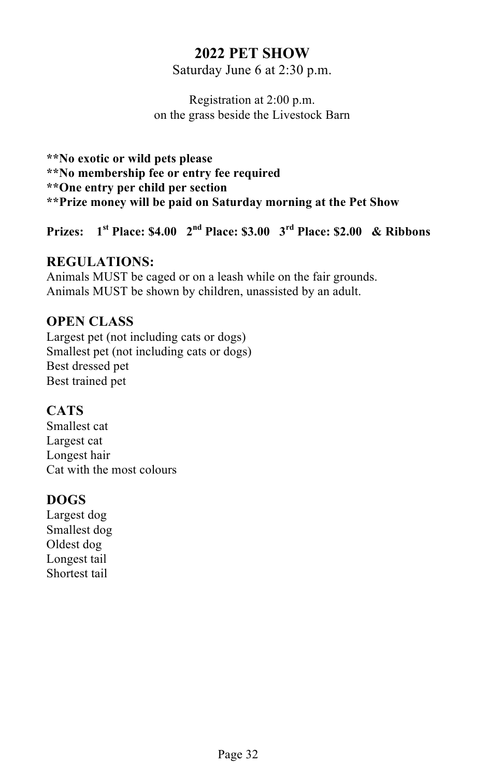## **2022 PET SHOW**

Saturday June 6 at 2:30 p.m.

Registration at 2:00 p.m. on the grass beside the Livestock Barn

**\*\*No exotic or wild pets please \*\*No membership fee or entry fee required \*\*One entry per child per section \*\*Prize money will be paid on Saturday morning at the Pet Show**

**Prizes: 1st Place: \$4.00 2nd Place: \$3.00 3rd Place: \$2.00 & Ribbons**

#### **REGULATIONS:**

Animals MUST be caged or on a leash while on the fair grounds. Animals MUST be shown by children, unassisted by an adult.

#### **OPEN CLASS**

Largest pet (not including cats or dogs) Smallest pet (not including cats or dogs) Best dressed pet Best trained pet

#### **CATS**

Smallest cat Largest cat Longest hair Cat with the most colours

#### **DOGS**

Largest dog Smallest dog Oldest dog Longest tail Shortest tail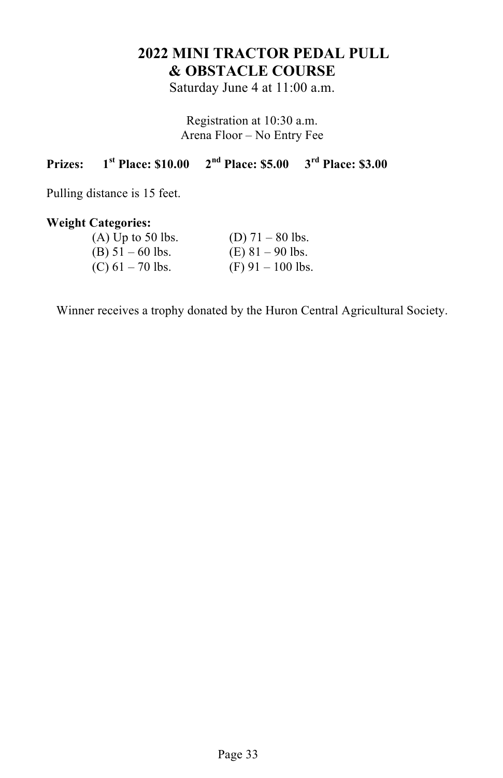## **2022 MINI TRACTOR PEDAL PULL & OBSTACLE COURSE**

Saturday June 4 at 11:00 a.m.

Registration at 10:30 a.m. Arena Floor – No Entry Fee

## **Prizes: 1st Place: \$10.00 2nd Place: \$5.00 3rd Place: \$3.00**

Pulling distance is 15 feet.

#### **Weight Categories:**

| $(A)$ Up to 50 lbs. | (D) $71 - 80$ lbs.  |
|---------------------|---------------------|
| $(B) 51 - 60$ lbs.  | $(E)$ 81 – 90 lbs.  |
| $(C)$ 61 – 70 lbs.  | $(F)$ 91 – 100 lbs. |

Winner receives a trophy donated by the Huron Central Agricultural Society.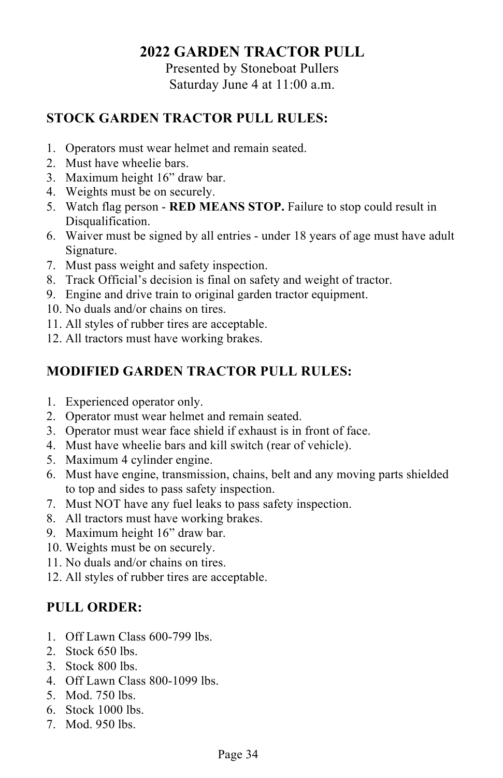## **2022 GARDEN TRACTOR PULL**

Presented by Stoneboat Pullers Saturday June 4 at 11:00 a.m.

#### **STOCK GARDEN TRACTOR PULL RULES:**

- 1. Operators must wear helmet and remain seated.
- 2. Must have wheelie bars.
- 3. Maximum height 16" draw bar.
- 4. Weights must be on securely.
- 5. Watch flag person **RED MEANS STOP.** Failure to stop could result in Disqualification.
- 6. Waiver must be signed by all entries under 18 years of age must have adult Signature.
- 7. Must pass weight and safety inspection.
- 8. Track Official's decision is final on safety and weight of tractor.
- 9. Engine and drive train to original garden tractor equipment.
- 10. No duals and/or chains on tires.
- 11. All styles of rubber tires are acceptable.
- 12. All tractors must have working brakes.

## **MODIFIED GARDEN TRACTOR PULL RULES:**

- 1. Experienced operator only.
- 2. Operator must wear helmet and remain seated.
- 3. Operator must wear face shield if exhaust is in front of face.
- 4. Must have wheelie bars and kill switch (rear of vehicle).
- 5. Maximum 4 cylinder engine.
- 6. Must have engine, transmission, chains, belt and any moving parts shielded to top and sides to pass safety inspection.
- 7. Must NOT have any fuel leaks to pass safety inspection.
- 8. All tractors must have working brakes.
- 9. Maximum height 16" draw bar.
- 10. Weights must be on securely.
- 11. No duals and/or chains on tires.
- 12. All styles of rubber tires are acceptable.

## **PULL ORDER:**

- 1. Off Lawn Class 600-799 lbs.
- 2. Stock 650 lbs.
- 3. Stock 800 lbs.
- 4. Off Lawn Class 800-1099 lbs.
- 5. Mod. 750 lbs.
- 6. Stock 1000 lbs.
- 7. Mod. 950 lbs.